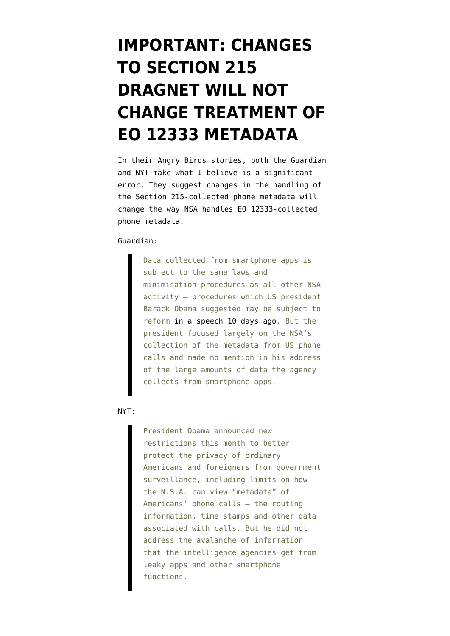## **[IMPORTANT: CHANGES](https://www.emptywheel.net/2014/01/27/important-changes-to-section-215-dragnet-will-not-change-treatment-of-eo-12333-metadata/) [TO SECTION 215](https://www.emptywheel.net/2014/01/27/important-changes-to-section-215-dragnet-will-not-change-treatment-of-eo-12333-metadata/) [DRAGNET WILL NOT](https://www.emptywheel.net/2014/01/27/important-changes-to-section-215-dragnet-will-not-change-treatment-of-eo-12333-metadata/) [CHANGE TREATMENT OF](https://www.emptywheel.net/2014/01/27/important-changes-to-section-215-dragnet-will-not-change-treatment-of-eo-12333-metadata/) [EO 12333 METADATA](https://www.emptywheel.net/2014/01/27/important-changes-to-section-215-dragnet-will-not-change-treatment-of-eo-12333-metadata/)**

In their Angry Birds stories, both the Guardian and NYT make what I believe is a significant error. They suggest changes in the handling of the Section 215-collected phone metadata will change the way NSA handles EO 12333-collected phone metadata.

## [Guardian:](http://www.theguardian.com/world/2014/jan/27/nsa-gchq-smartphone-app-angry-birds-personal-data)

Data collected from smartphone apps is subject to the same laws and minimisation procedures as all other NSA activity – procedures which US president Barack Obama suggested may be subject to reform [in a speech 10 days ago.](http://www.theguardian.com/world/2014/jan/17/obama-nsa-reforms-end-storage-americans-call-data) But the president focused largely on the NSA's collection of the metadata from US phone calls and made no mention in his address of the large amounts of data the agency collects from smartphone apps.

## [NYT:](http://www.nytimes.com/2014/01/28/world/spy-agencies-scour-phone-apps-for-personal-data.html?emc=edit_na_20140127&_r=0)

President Obama announced new restrictions this month to better protect the privacy of ordinary Americans and foreigners from government surveillance, including limits on how the N.S.A. can view "metadata" of Americans' phone calls — the routing information, time stamps and other data associated with calls. But he did not address the avalanche of information that the intelligence agencies get from leaky apps and other smartphone functions.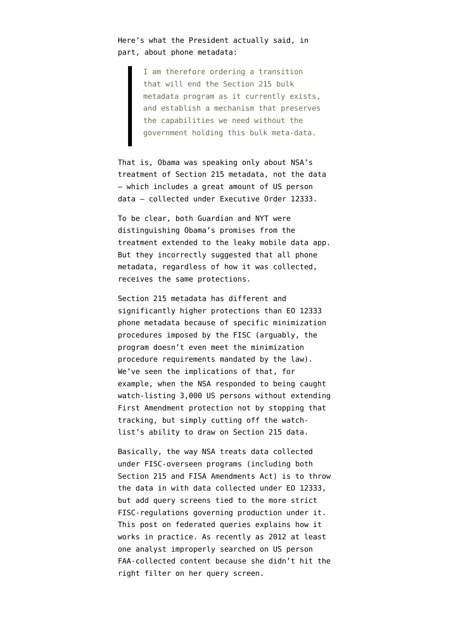Here's what the President actually [said,](http://www.emptywheel.net/2014/01/17/obamas-speech-annotated-version/) in part, about phone metadata:

> I am therefore ordering a transition that will end the Section 215 bulk metadata program as it currently exists, and establish a mechanism that preserves the capabilities we need without the government holding this bulk meta-data.

That is, Obama was speaking only about NSA's treatment of Section 215 metadata, not the data — which includes a great amount of US person data — collected under Executive Order 12333.

To be clear, both Guardian and NYT were distinguishing Obama's promises from the treatment extended to the leaky mobile data app. But they incorrectly suggested that all phone metadata, regardless of how it was collected, receives the same protections.

Section 215 metadata has different and significantly higher protections than EO 12333 phone metadata because of specific minimization procedures imposed by the FISC (arguably, [the](http://www.emptywheel.net/2013/11/12/the-phone-dragnet-did-not-and-may-still-not-meet-the-patriot-acts-minimization-requirements/) [program doesn't even meet the minimization](http://www.emptywheel.net/2013/11/12/the-phone-dragnet-did-not-and-may-still-not-meet-the-patriot-acts-minimization-requirements/) [procedure](http://www.emptywheel.net/2013/11/12/the-phone-dragnet-did-not-and-may-still-not-meet-the-patriot-acts-minimization-requirements/) requirements mandated by the law). We've seen the implications of that, for example, when the NSA [responded](http://www.emptywheel.net/2014/01/23/how-nsa-spies-on-first-amendment-protected-speech-the-eo-12333-loophole/) to being caught watch-listing 3,000 US persons without extending First Amendment protection not by stopping that tracking, but simply cutting off the watchlist's ability to draw on Section 215 data.

Basically, the way NSA treats data collected under FISC-overseen programs (including both Section 215 and FISA Amendments Act) is to throw the data in with data collected under EO 12333, but add query screens tied to the more strict FISC-regulations governing production under it. [This post](http://www.emptywheel.net/2013/12/03/federated-queries-and-eo-12333-fisc-workaround/) on federated queries explains how it works in practice. As recently as 2012 at least one analyst improperly [searched](https://www.aclu.org/files/assets/semiannual_assessment_of_compliance_with_procedures_and_guidelines_issued_pursuant_to_sect_702_of_fisa.pdf) on US person FAA-collected content because she didn't hit the right filter on her query screen.